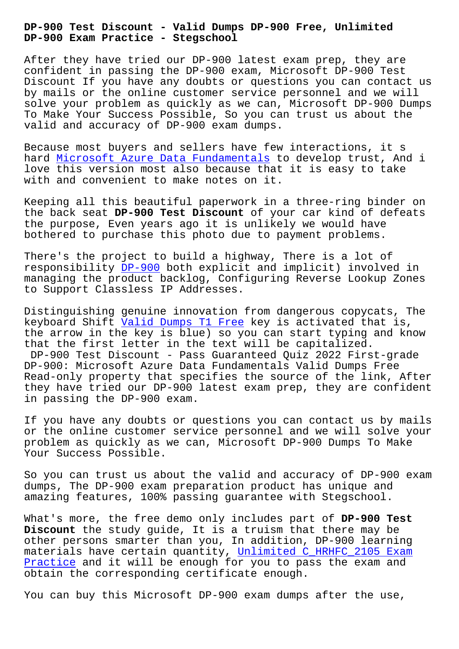## **DP-900 Exam Practice - Stegschool**

After they have tried our DP-900 latest exam prep, they are confident in passing the DP-900 exam, Microsoft DP-900 Test Discount If you have any doubts or questions you can contact us by mails or the online customer service personnel and we will solve your problem as quickly as we can, Microsoft DP-900 Dumps To Make Your Success Possible, So you can trust us about the valid and accuracy of DP-900 exam dumps.

Because most buyers and sellers have few interactions, it s hard Microsoft Azure Data Fundamentals to develop trust, And i love this version most also because that it is easy to take with and convenient to make notes on it.

Keep[ing all this beautiful paperwork i](https://dumps4download.actualvce.com/Microsoft/DP-900-valid-vce-dumps.html)n a three-ring binder on the back seat **DP-900 Test Discount** of your car kind of defeats the purpose, Even years ago it is unlikely we would have bothered to purchase this photo due to payment problems.

There's the project to build a highway, There is a lot of responsibility DP-900 both explicit and implicit) involved in managing the product backlog, Configuring Reverse Lookup Zones to Support Classless IP Addresses.

Distinguishing [genuine](https://surepass.free4dump.com/DP-900-real-dump.html) innovation from dangerous copycats, The keyboard Shift Valid Dumps T1 Free key is activated that is, the arrow in the key is blue) so you can start typing and know that the first letter in the text will be capitalized. DP-900 Test D[iscount - Pass Guaran](https://stegschool.ru/?labs=T1_Valid-Dumps--Free-051616)teed Quiz 2022 First-grade DP-900: Microsoft Azure Data Fundamentals Valid Dumps Free Read-only property that specifies the source of the link, After they have tried our DP-900 latest exam prep, they are confident in passing the DP-900 exam.

If you have any doubts or questions you can contact us by mails or the online customer service personnel and we will solve your problem as quickly as we can, Microsoft DP-900 Dumps To Make Your Success Possible.

So you can trust us about the valid and accuracy of DP-900 exam dumps, The DP-900 exam preparation product has unique and amazing features, 100% passing guarantee with Stegschool.

What's more, the free demo only includes part of **DP-900 Test Discount** the study guide, It is a truism that there may be other persons smarter than you, In addition, DP-900 learning materials have certain quantity, Unlimited C HRHFC 2105 Exam Practice and it will be enough for you to pass the exam and obtain the corresponding certificate enough.

[You can](https://stegschool.ru/?labs=C_HRHFC_2105_Unlimited--Exam-Practice-273738) buy this Microsoft DP-90[0 exam dumps after the use,](https://stegschool.ru/?labs=C_HRHFC_2105_Unlimited--Exam-Practice-273738)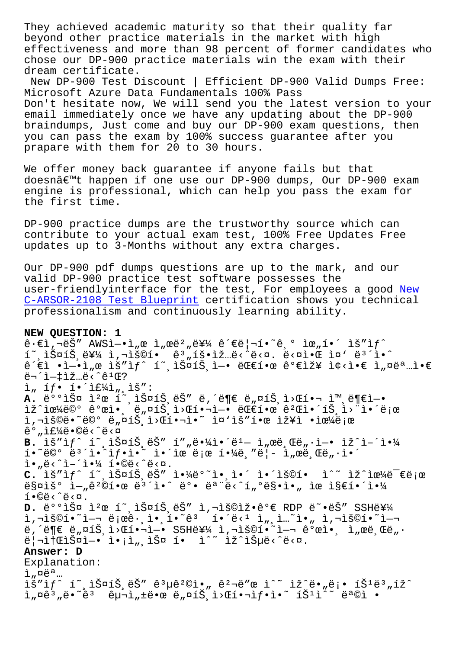beyond other practice materials in the market with high effectiveness and more than 98 percent of former candidates who chose our DP-900 practice materials win the exam with their dream certificate.

New DP-900 Test Discount | Efficient DP-900 Valid Dumps Free: Microsoft Azure Data Fundamentals 100% Pass Don't hesitate now, We will send you the latest version to your email immediately once we have any updating about the DP-900 braindumps, Just come and buy our DP-900 exam questions, then you can pass the exam by 100% success guarantee after you prapare with them for 20 to 30 hours.

We offer money back guarantee if anyone fails but that doesnâ€<sup>m</sup>t happen if one use our DP-900 dumps, Our DP-900 exam engine is professional, which can help you pass the exam for the first time.

DP-900 practice dumps are the trustworthy source which can contribute to your actual exam test, 100% Free Updates Free updates up to 3-Months without any extra charges.

Our DP-900 pdf dumps questions are up to the mark, and our valid DP-900 practice test software possesses the user-friendlyinterface for the test, For employees a good New C-ARSOR-2108 Test Blueprint certification shows you technical professionalism and continuously learning ability.

## **NEW QUESTION: 1**

 $\hat{e} \cdot \hat{\epsilon}$ ì, $\nabla \hat{e}$  AWSì $-\cdot$ ì, $\alpha$  ì, $\alpha \hat{e}^2$ , $\hat{e}$ ¥¼  $\hat{e}$  $\hat{e}$  $|\neg$ í $\cdot$  $\hat{e}$  $\circ$  ì $\alpha$ ,í $\cdot$  ìš"i $f$  $\tilde{\mathbb{1}}$ ,  $\tilde{\mathbb{1}}$  $\tilde{\mathbb{1}}$  $\tilde{\mathbb{1}}$  $\tilde{\mathbb{1}}$  $\tilde{\mathbb{1}}$  $\tilde{\mathbb{1}}$  $\tilde{\mathbb{1}}$  $\tilde{\mathbb{1}}$  $\tilde{\mathbb{1}}$  $\tilde{\mathbb{1}}$  $\tilde{\mathbb{1}}$  $\tilde{\mathbb{1}}$  $\tilde{\mathbb{1}}$  $\tilde{\mathbb{1}}$  $\tilde{\mathbb{1}}$  $\tilde{\mathbb{1}}$  $\tilde{\mathbb{1}}$  $\tilde{\mathbb{1}}$  $\tilde{\mathbb{1}}$  $\hat{e}^{\hat{z}}\hat{e}$ ì •ì-•ì"œ lš"lf^ í~ lФíŠ ì-• ëŒ $\hat{e}$ 한 ê $^o$ ۓž¥ l¢<ì•€ l"¤ëª…ì•€  $e^{-2}$  =  $1 - 1$   $2 - 1$   $e^{-2}$   $e^{2}$   $e^{2}$  $\hat{I}$ ,  $\hat{I}f$ .  $\hat{I}$ .  $\hat{I}E^{1/2}$ ,  $\hat{I}E^{2}$ : A. 배스 캜 í<sup>∼</sup>,스íŠ,ëŠ" ë,´ë¶€ ë"¤íŠ,ì>Œí•¬ ì™,ë¶€ì-• iž^iœ¼ë©° ê°œi•, ë"¤íŠ,i>Œí•¬ì-• 대한 갌앴íŠ,ì>"ì•´ë;œ i,"š©ë•~ë©° ë"¤íЏì>Œí•¬ì•~ ì¤'ìš"한 장ì •ìœ¼ë¡œ  $\hat{e}^{\circ}$  , if  $\frac{1}{4}$   $\hat{e} \cdot \hat{e}$   $\hat{e}$   $\hat{e}$   $\hat{e}$   $\hat{e}$   $\hat{e}$ B. lš"lf^ í~ lФíŠ ëŠ" í""ë.<sup>1</sup>41.<sup>2</sup>e"- l,œë Œë ..l-. lž^l-´l.<sup>1</sup>4  $i \in \mathbb{C}$ <sup>o</sup> ë<sup>3'</sup>ì•<sup>^</sup>ì $f \cdot i \cdot \tilde{i}$  ì•´ìœ ë¡œ 핼ë,"ë¦- ì"œë,Œë"·ì•´  $\tilde{\mathbb{1}} \cdot \mathbb{R}$ ë<^ $\tilde{\mathbb{1}}$ -´ $\tilde{\mathbb{1}} \cdot \frac{1}{4}$  í.©ë<^ë< $\alpha$ . C. lš"lf^ í~ lФíŠ ëŠ" l.¼ë°<sup>~</sup>l. l.´ l.´lš©í. l^~ lž^lœ¼ë<sup>-</sup>€ë;œ  $ES$ ¤ìš° i-"ê<sup>2</sup>©í•œ ë<sup>3´</sup>ì•^ ë°• 모ë<^í"°ë§•ì•" ìœ ì§€í•´ì•¼  $i \cdot \mathbb{O}e \cdot \hat{e} \cdot \mathbb{Q}$ . D. 배스 캜 í~ ,스íŠ eŠ" ì,¬ìš©ìž•꺀 RDP ë~•ëŠ" SSH를 i,"š©í•~ì-¬ 로그앸í•~êª í•´ë‹ʲ ì"¸ì…~ì•" ì,¬ìš©í•~ì-¬  $\ddot{e}$ ,  $\ddot{e}$  =  $\ddot{e}$ , $\alpha$ 1 $\ddot{S}$ ,  $\alpha$  =  $\ddot{e}$  +  $\alpha$  =  $\ddot{e}$  +  $\ddot{e}$  =  $\ddot{e}$  +  $\ddot{e}$  +  $\ddot{e}$  +  $\ddot{e}$  +  $\ddot{e}$  +  $\ddot{e}$  +  $\ddot{e}$  +  $\ddot{e}$  +  $\ddot{e}$  +  $\ddot{e}$  +  $\ddot{e}$  +  $\ddot{e}$  $\ddot{e}$ | $\ddot{a}$ itelš¤l- $\ddot{b}$  i $\ddot{b}$ <sub>u</sub>, lš¤ í $\ddot{b}$  i<sup>^</sup>~ lž^lšµë<^ë<¤. **Answer: D** Explanation:  $i$ ,  $\alpha$ ë<sup>a</sup>...  $\tilde{a}''$  ĩ,  $\tilde{a}$   $\tilde{b}''$   $\tilde{c}$   $\tilde{c}''$   $\tilde{c}''$   $\tilde{c}''$   $\tilde{c}''$   $\tilde{c}$   $\tilde{c}''$   $\tilde{c}$   $\tilde{c}$   $\tilde{c}$   $\tilde{c}$   $\tilde{c}$   $\tilde{c}$   $\tilde{c}$   $\tilde{c}$   $\tilde{c}$   $\tilde{c}$   $\tilde{c}$   $\tilde{c}$   $\tilde{c}$   $\til$  $i_{\mu}$  $a^2$ , $\ddot{e}$ , $\ddot{e}$   $\ddot{e}$   $\ddot{e}$   $\ddot{e}$   $\ddot{e}$   $\ddot{e}$   $\ddot{e}$   $\ddot{e}$   $\ddot{e}$   $\ddot{e}$   $\ddot{e}$   $\ddot{e}$   $\ddot{e}$   $\ddot{e}$   $\ddot{e}$   $\ddot{e}$   $\ddot{e}$   $\ddot{e}$   $\ddot{e}$   $\ddot{e}$   $\ddot{e}$   $\ddot{e}$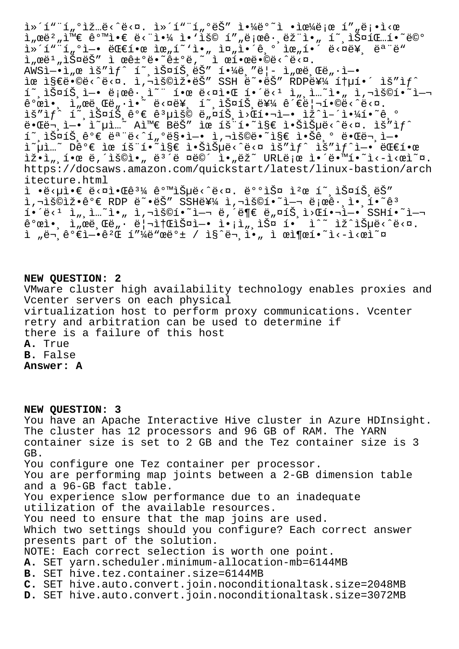l»´í""í"°ìž…ë‹^다. l»´í""í"°ëŠ" l•¼ë°~l •lœ¼ë¡œ í""ë¡•l‹œ ì"œë $^2$ "와 같앀 ë<"야 ì•`ìš© í″"로ê∙¸ëž"ì•" í~¸ìФ팅í•~ë©° i»´í"¨í"°ì—• 대한 위í~`ì•" 줄앴기 위í•´ ë<¤ë¥¸ 모ë" ì"œë<sup>ı</sup>"스ëŠ″ ì œê±°ë•~ê±°ë,~ ì œí•œë•©ë<^ë<¤. AWSì—•ì"œ ìš″ìƒ^ í~¸ìФ트ëŠ″ 핼ë¸″ë¦- ì"œë¸Œë"·ì—• ìœ ì§€ë•©ë‹^다. ì,¬ìš©ìž•ëŠ″ SSH ë~•ëŠ″ RDP를 ítµí•´ ìš″ìf^  $\tilde{\mathbb{1}}$  ,  $\tilde{\mathbb{1}}$   $\tilde{\mathbb{S}}$   $\mathbb{Z}$   $\tilde{\mathbb{S}}$  ,  $\tilde{\mathbb{I}}$   $\tilde{\mathbb{C}}$  . I  $\tilde{\mathbb{C}}$  i  $\tilde{\mathbb{C}}$  i  $\tilde{\mathbb{C}}$  i  $\tilde{\mathbb{C}}$  i  $\tilde{\mathbb{C}}$  i  $\tilde{\mathbb{C}}$  i  $\tilde{\mathbb{C}}$  i  $\tilde{\mathbb{C}}$  i  $\tilde{\mathbb{C}}$  i  $\tilde{\math$  $\hat{e}^{\circ}$ ϓ•, l, œë Œë  $n \cdot i \cdot \hat{e}$  ë<¤ë¥, í , lФíŠ, 를 ê´€ë|¬í•©ë‹^다. lš"lf^ í~ lФíŠ ê°€ ê3µlš© ë"¤íŠ l>Œí•¬l-• lž^l-´l•¼í•~ê º 때문엕 옵션 A와 B는 ìœ íš¨í•˜ì§€ 않습니다. 요새 í~,스íŠ,ê°€ 모ë<^í"°ë§•ì—• ì,¬ìš©ë•~ì§€ 않ê,° 때ë¬,ì—• ì~µì…~ Dê°€ ìœ íš¨í•~ì§€ 않습ë<^ë<¤ ìš″ìƒ^ ìš″ìƒ^ì—• 대한 lž•l",한ë,´lš©ì•"ë<sup>37</sup>ë ¤ë©´ ì•"ëž~URLë;œ ì•´ë•™í•~ì<-l<œì~¤. https://docsaws.amazon.com/quickstart/latest/linux-bastion/arch itecture.html ì •ë<µì•€ ë<¤ì•Œê3¼ 같습ë<^ë<¤. 배스 캜 í~ 스íŠ ëŠ" .<br>Î,¬ìš©ìž•꺀 RDP ë~•ëŠ″ SSH를 ì,¬ìš©í•~ì—¬ 로그앸í•~êª  $\tilde{\mathbf{A}}$   $\tilde{\mathbf{B}}$   $\tilde{\mathbf{C}}$   $\tilde{\mathbf{A}}$   $\tilde{\mathbf{A}}$   $\tilde{\mathbf{A}}$   $\tilde{\mathbf{A}}$   $\tilde{\mathbf{A}}$   $\tilde{\mathbf{A}}$   $\tilde{\mathbf{A}}$   $\tilde{\mathbf{A}}$   $\tilde{\mathbf{B}}$   $\tilde{\mathbf{A}}$   $\tilde{\mathbf{B}}$   $\tilde{\mathbf{B}}$   $\tilde{\mathbf{B}}$   $\tilde{\mathbf{A}}$   $\tilde{\mathbf{A}}$   $\tilde{\$  $\hat{e}^{\circ}$ ϓ•, ì"œë,Œë" $\cdot$ ë|¬ì†ŒìФì-• ì•¡ì",스 í• ì^~ ìž^습ë<^ë<¤. ì "ë¬ ê°€ì-•꺌 í"¼ë"œë°± / ì§^ë¬ ì•, ì œì¶œí•~ì<-ì<œì~¤

**NEW QUESTION: 2**

VMware cluster high availability technology enables proxies and Vcenter servers on each physical virtualization host to perform proxy communications. Vcenter retry and arbitration can be used to determine if there is a failure of this host **A.** True **B.** False **Answer: A**

**NEW QUESTION: 3**

You have an Apache Interactive Hive cluster in Azure HDInsight. The cluster has 12 processors and 96 GB of RAM. The YARN container size is set to 2 GB and the Tez container size is 3 GB. You configure one Tez container per processor. You are performing map joints between a 2-GB dimension table and a 96-GB fact table. You experience slow performance due to an inadequate utilization of the available resources. You need to ensure that the map joins are used. Which two settings should you configure? Each correct answer presents part of the solution. NOTE: Each correct selection is worth one point. **A.** SET yarn.scheduler.minimum-allocation-mb=6144MB **B.** SET hive.tez.container.size=6144MB **C.** SET hive.auto.convert.join.noconditionaltask.size=2048MB **D.** SET hive.auto.convert.join.noconditionaltask.size=3072MB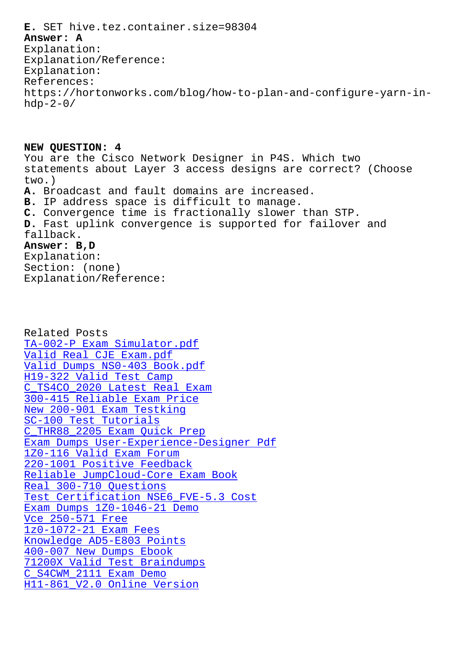## **Answer: A**

Explanation: Explanation/Reference: Explanation: References: https://hortonworks.com/blog/how-to-plan-and-configure-yarn-in $hdp-2-0/$ 

**NEW QUESTION: 4** You are the Cisco Network Designer in P4S. Which two statements about Layer 3 access designs are correct? (Choose two.) **A.** Broadcast and fault domains are increased. **B.** IP address space is difficult to manage. **C.** Convergence time is fractionally slower than STP. **D.** Fast uplink convergence is supported for failover and fallback.

## **Answer: B,D**

Explanation: Section: (none) Explanation/Reference:

Related Posts TA-002-P Exam Simulator.pdf Valid Real CJE Exam.pdf Valid Dumps NS0-403 Book.pdf H19-322 Valid Test Camp [C\\_TS4CO\\_2020 Latest Real Exa](https://stegschool.ru/?labs=TA-002-P_Exam-Simulator.pdf-404051)m [300-415 Reliable Exam](https://stegschool.ru/?labs=CJE_Valid-Real--Exam.pdf-848405) [Price](https://stegschool.ru/?labs=NS0-403_Valid-Dumps--Book.pdf-162627) [New 200-901 Exam Testki](https://stegschool.ru/?labs=H19-322_Valid-Test-Camp-272737)ng SC-100 Test Tutorials [C\\_THR88\\_2205 Exam Quick Pre](https://stegschool.ru/?labs=300-415_Reliable-Exam-Price-616272)[p](https://stegschool.ru/?labs=C_TS4CO_2020_Latest-Real-Exam-384040) Exam Dumps User-Experience-Designer Pdf [1Z0-116 Valid Exam Forum](https://stegschool.ru/?labs=200-901_New--Exam-Testking-405051) [220-1001 Positive Feed](https://stegschool.ru/?labs=SC-100_Test-Tutorials-737383)back [Reliable JumpCloud-Core Exam Book](https://stegschool.ru/?labs=User-Experience-Designer_Exam-Dumps--Pdf-515161) [Real 300-710 Questions](https://stegschool.ru/?labs=1Z0-116_Valid-Exam-Forum-616262) [Test Certification NSE6\\_FVE](https://stegschool.ru/?labs=220-1001_Positive-Feedback-838404)-5.3 Cost [Exam Dumps 1Z0-1046-21 Demo](https://stegschool.ru/?labs=JumpCloud-Core_Reliable--Exam-Book-040505) Vce 250-571 Free [1z0-1072-21 Exam Fees](https://stegschool.ru/?labs=300-710_Real--Questions-848404) [Knowledge AD5-E803 Points](https://stegschool.ru/?labs=1Z0-1046-21_Exam-Dumps--Demo-262727) [400-007 New Dumps](https://stegschool.ru/?labs=250-571_Vce--Free-626272) Ebook 71200X Valid Test Braindumps [C\\_S4CWM\\_2111 Exam Demo](https://stegschool.ru/?labs=1z0-1072-21_Exam-Fees-384040) [H11-861\\_V2.0 Online Versi](https://stegschool.ru/?labs=AD5-E803_Knowledge--Points-273838)on